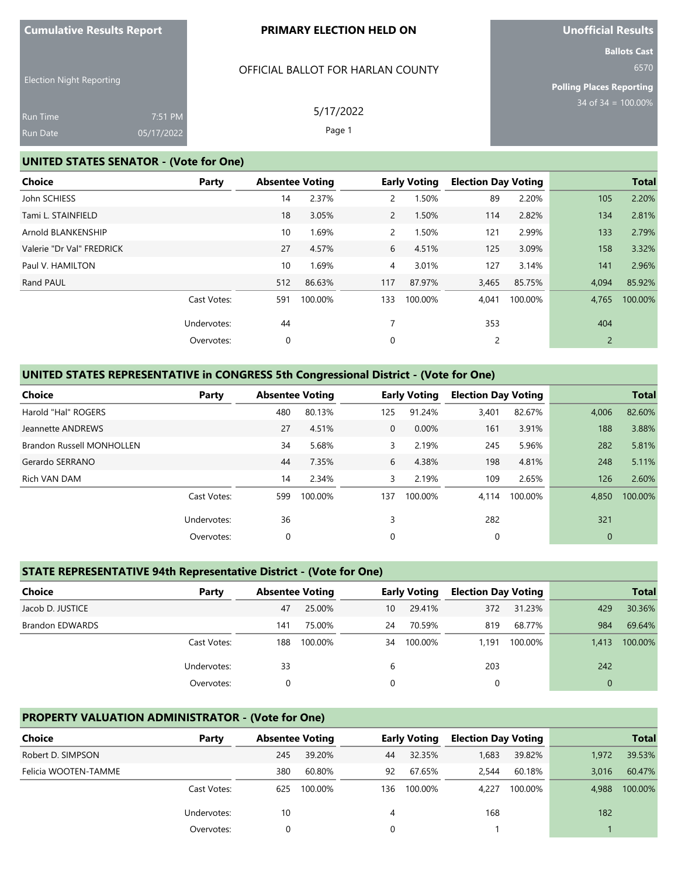Election Night Reporting

#### **PRIMARY ELECTION HELD ON**

OFFICIAL BALLOT FOR HARLAN COUNTY

5/17/2022 Page 1

**Unofficial Results**

**Ballots Cast** 6570

**Polling Places Reporting** 34 of 34 = 100.00%

```
Run Time
                            7:51 PM
                         05/17/2022
```
### **UNITED STATES SENATOR - (Vote for One)**

| <b>Choice</b>             | Party       | <b>Absentee Voting</b> |         |                | <b>Early Voting</b> | <b>Election Day Voting</b> |         |                | <b>Total</b> |
|---------------------------|-------------|------------------------|---------|----------------|---------------------|----------------------------|---------|----------------|--------------|
| John SCHIESS              |             | 14                     | 2.37%   | 2              | 1.50%               | 89                         | 2.20%   | 105            | 2.20%        |
| Tami L. STAINFIELD        |             | 18                     | 3.05%   | $\overline{2}$ | 1.50%               | 114                        | 2.82%   | 134            | 2.81%        |
| Arnold BLANKENSHIP        |             | 10                     | 1.69%   | 2              | 1.50%               | 121                        | 2.99%   | 133            | 2.79%        |
| Valerie "Dr Val" FREDRICK |             | 27                     | 4.57%   | 6              | 4.51%               | 125                        | 3.09%   | 158            | 3.32%        |
| Paul V. HAMILTON          |             | 10                     | 1.69%   | $\overline{4}$ | 3.01%               | 127                        | 3.14%   | 141            | 2.96%        |
| Rand PAUL                 |             | 512                    | 86.63%  | 117            | 87.97%              | 3,465                      | 85.75%  | 4,094          | 85.92%       |
|                           | Cast Votes: | 591                    | 100.00% | 133            | 100.00%             | 4,041                      | 100.00% | 4,765          | 100.00%      |
|                           | Undervotes: | 44                     |         |                |                     | 353                        |         | 404            |              |
|                           | Overvotes:  | 0                      |         | 0              |                     | 2                          |         | $\overline{2}$ |              |

## **UNITED STATES REPRESENTATIVE in CONGRESS 5th Congressional District - (Vote for One)**

| Choice                    | Party       |     | <b>Absentee Voting</b> |                | <b>Early Voting</b> |       | <b>Election Day Voting</b> |              | <b>Total</b> |
|---------------------------|-------------|-----|------------------------|----------------|---------------------|-------|----------------------------|--------------|--------------|
| Harold "Hal" ROGERS       |             | 480 | 80.13%                 | 125            | 91.24%              | 3,401 | 82.67%                     | 4,006        | 82.60%       |
| Jeannette ANDREWS         |             | 27  | 4.51%                  | $\overline{0}$ | $0.00\%$            | 161   | 3.91%                      | 188          | 3.88%        |
| Brandon Russell MONHOLLEN |             | 34  | 5.68%                  | 3              | 2.19%               | 245   | 5.96%                      | 282          | 5.81%        |
| Gerardo SERRANO           |             | 44  | 7.35%                  | 6              | 4.38%               | 198   | 4.81%                      | 248          | 5.11%        |
| Rich VAN DAM              |             | 14  | 2.34%                  | 3              | 2.19%               | 109   | 2.65%                      | 126          | 2.60%        |
|                           | Cast Votes: | 599 | 100.00%                | 137            | 100.00%             | 4.114 | 100.00%                    | 4,850        | 100.00%      |
|                           | Undervotes: | 36  |                        | 3              |                     | 282   |                            | 321          |              |
|                           | Overvotes:  | 0   |                        | $\mathbf 0$    |                     | 0     |                            | $\mathbf{0}$ |              |

## **STATE REPRESENTATIVE 94th Representative District - (Vote for One)**

| <b>Choice</b>    | Party       | <b>Absentee Voting</b> |         |    | <b>Early Voting</b> | <b>Election Day Voting</b> |         |          | <b>Total</b> |
|------------------|-------------|------------------------|---------|----|---------------------|----------------------------|---------|----------|--------------|
| Jacob D. JUSTICE |             | 47                     | 25.00%  | 10 | 29.41%              | 372                        | 31.23%  | 429      | 30.36%       |
| Brandon EDWARDS  |             | 141                    | 75.00%  | 24 | 70.59%              | 819                        | 68.77%  | 984      | 69.64%       |
|                  | Cast Votes: | 188                    | 100.00% | 34 | 100.00%             | 1.191                      | 100.00% | 1.413    | 100.00%      |
|                  | Undervotes: | 33                     |         | 6  |                     | 203                        |         | 242      |              |
|                  | Overvotes:  |                        |         | 0  |                     | 0                          |         | $\Omega$ |              |

#### **PROPERTY VALUATION ADMINISTRATOR - (Vote for One)**

| <b>Choice</b>        | Party       |     | <b>Absentee Voting</b> |     | Early Voting |       | <b>Election Day Voting</b> |       | <b>Total</b> |
|----------------------|-------------|-----|------------------------|-----|--------------|-------|----------------------------|-------|--------------|
| Robert D. SIMPSON    |             | 245 | 39.20%                 | 44  | 32.35%       | 1,683 | 39.82%                     | 1,972 | 39.53%       |
| Felicia WOOTEN-TAMME |             | 380 | 60.80%                 | 92  | 67.65%       | 2.544 | 60.18%                     | 3.016 | 60.47%       |
|                      | Cast Votes: | 625 | 100.00%                | 136 | 100.00%      | 4,227 | 100.00%                    | 4.988 | 100.00%      |
|                      | Undervotes: | 10  |                        | 4   |              | 168   |                            | 182   |              |
|                      | Overvotes:  |     |                        |     |              |       |                            |       |              |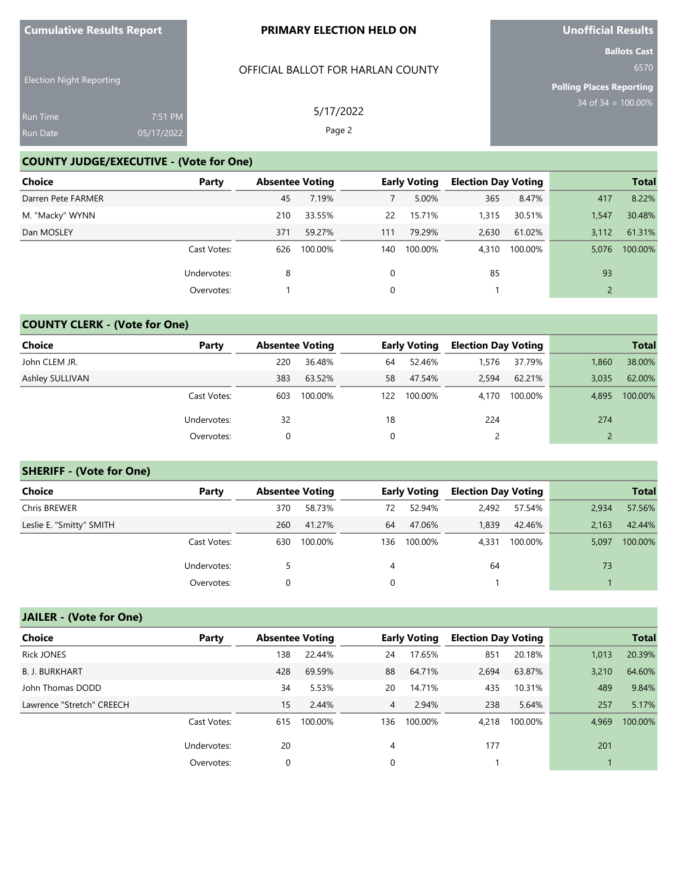| <b>Cumulative Results Report</b> |  |  |
|----------------------------------|--|--|
|----------------------------------|--|--|

Election Night Reporting

## **PRIMARY ELECTION HELD ON**

OFFICIAL BALLOT FOR HARLAN COUNTY

5/17/2022 Page 2

**Unofficial Results**

**Ballots Cast** 6570

## **Polling Places Reporting**

34 of 34 = 100.00%

| <b>Run Time</b> | 7:51 PM    |
|-----------------|------------|
| Run Date        | 05/17/2022 |

## **COUNTY JUDGE/EXECUTIVE - (Vote for One)**

| Choice             | Party       |     | <b>Absentee Voting</b> |          | <b>Early Voting</b> | <b>Election Day Voting</b> |         |       | <b>Total</b> |
|--------------------|-------------|-----|------------------------|----------|---------------------|----------------------------|---------|-------|--------------|
| Darren Pete FARMER |             | 45  | 7.19%                  |          | 5.00%               | 365                        | 8.47%   | 417   | 8.22%        |
| M. "Macky" WYNN    |             | 210 | 33.55%                 | 22       | 15.71%              | 1,315                      | 30.51%  | 1,547 | 30.48%       |
| Dan MOSLEY         |             | 371 | 59.27%                 | 111      | 79.29%              | 2,630                      | 61.02%  | 3.112 | 61.31%       |
|                    | Cast Votes: | 626 | 100.00%                | 140      | 100.00%             | 4,310                      | 100.00% | 5.076 | 100.00%      |
| Undervotes:        |             | 8   |                        | $\Omega$ |                     | 85                         |         | 93    |              |
|                    | Overvotes:  |     |                        | 0        |                     |                            |         |       |              |

## **COUNTY CLERK - (Vote for One)**

| Choice          | Party       |     | <b>Absentee Voting</b> |     | <b>Early Voting</b> |       | <b>Election Day Voting</b> |       | <b>Total</b> |
|-----------------|-------------|-----|------------------------|-----|---------------------|-------|----------------------------|-------|--------------|
| John CLEM JR.   |             | 220 | 36.48%                 | 64  | 52.46%              | .576  | 37.79%                     | 1,860 | 38.00%       |
| Ashley SULLIVAN |             | 383 | 63.52%                 | 58  | 47.54%              | 2,594 | 62.21%                     | 3,035 | 62.00%       |
|                 | Cast Votes: | 603 | 100.00%                | 122 | 100.00%             | 4.170 | 100.00%                    | 4,895 | 100.00%      |
|                 | Undervotes: | 32  |                        | 18  |                     | 224   |                            | 274   |              |
|                 | Overvotes:  | 0   |                        | 0   |                     |       |                            |       |              |

#### **SHERIFF - (Vote for One)**

| <b>Choice</b>            | Party       | <b>Absentee Voting</b> |         | <b>Early Voting</b> |         | <b>Election Day Voting</b> |         | <b>Total</b> |         |
|--------------------------|-------------|------------------------|---------|---------------------|---------|----------------------------|---------|--------------|---------|
| Chris BREWER             |             | 370                    | 58.73%  | 72                  | 52.94%  | 2,492                      | 57.54%  | 2,934        | 57.56%  |
| Leslie E. "Smitty" SMITH |             | 260                    | 41.27%  | 64                  | 47.06%  | 1,839                      | 42.46%  | 2.163        | 42.44%  |
|                          | Cast Votes: | 630                    | 100.00% | 136                 | 100.00% | 4,331                      | 100.00% | 5,097        | 100.00% |
|                          | Undervotes: |                        |         | 4                   |         | 64                         |         | 73           |         |
|                          | Overvotes:  |                        |         |                     |         |                            |         |              |         |

### **JAILER - (Vote for One)**

| Choice                    | Party       | <b>Absentee Voting</b> |         |                | <b>Early Voting</b> | <b>Election Day Voting</b> |         |       | <b>Total</b> |
|---------------------------|-------------|------------------------|---------|----------------|---------------------|----------------------------|---------|-------|--------------|
| <b>Rick JONES</b>         |             | 138                    | 22.44%  | 24             | 17.65%              | 851                        | 20.18%  | 1.013 | 20.39%       |
| <b>B. J. BURKHART</b>     |             | 428                    | 69.59%  | 88             | 64.71%              | 2,694                      | 63.87%  | 3,210 | 64.60%       |
| John Thomas DODD          |             | 34                     | 5.53%   | 20             | 14.71%              | 435                        | 10.31%  | 489   | 9.84%        |
| Lawrence "Stretch" CREECH |             | 15                     | 2.44%   | $\overline{4}$ | 2.94%               | 238                        | 5.64%   | 257   | 5.17%        |
|                           | Cast Votes: | 615                    | 100.00% | 136            | 100.00%             | 4,218                      | 100.00% | 4,969 | 100.00%      |
|                           | Undervotes: | 20                     |         | 4              |                     | 177                        |         | 201   |              |
|                           | Overvotes:  | 0                      |         | 0              |                     |                            |         |       |              |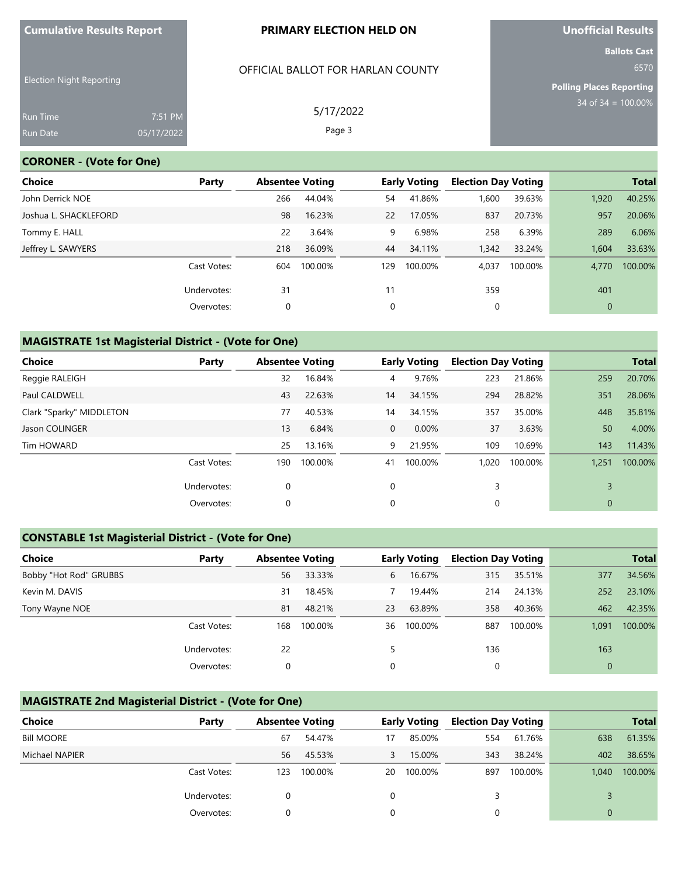## **PRIMARY ELECTION HELD ON**

#### OFFICIAL BALLOT FOR HARLAN COUNTY

5/17/2022 Page 3

Election Night Reporting Run Time

Run Date

# **Unofficial Results**

**Ballots Cast** 6570

**Polling Places Reporting** 34 of 34 = 100.00%

| PM   |  |
|------|--|
| 2022 |  |

### **CORONER - (Vote for One)**

| <b>Choice</b><br>Party |     | <b>Absentee Voting</b> |     | <b>Early Voting</b> |       | <b>Election Day Voting</b> | <b>Total</b> |         |
|------------------------|-----|------------------------|-----|---------------------|-------|----------------------------|--------------|---------|
| John Derrick NOE       | 266 | 44.04%                 | 54  | 41.86%              | 1,600 | 39.63%                     | 1,920        | 40.25%  |
| Joshua L. SHACKLEFORD  | 98  | 16.23%                 | 22  | 17.05%              | 837   | 20.73%                     | 957          | 20.06%  |
| Tommy E. HALL          | 22  | 3.64%                  | 9   | 6.98%               | 258   | 6.39%                      | 289          | 6.06%   |
| Jeffrey L. SAWYERS     | 218 | 36.09%                 | 44  | 34.11%              | 1,342 | 33.24%                     | 1,604        | 33.63%  |
| Cast Votes:            | 604 | 100.00%                | 129 | 100.00%             | 4,037 | 100.00%                    | 4,770        | 100.00% |
| Undervotes:            | 31  |                        | 11  |                     | 359   |                            | 401          |         |
| Overvotes:             | 0   |                        | 0   |                     | 0     |                            | $\mathbf{0}$ |         |

## **MAGISTRATE 1st Magisterial District - (Vote for One)**

 $7:5$ 

| Choice                   | Party       | <b>Absentee Voting</b> |         |                | <b>Early Voting</b> | <b>Election Day Voting</b> |         |              | <b>Total</b> |
|--------------------------|-------------|------------------------|---------|----------------|---------------------|----------------------------|---------|--------------|--------------|
| Reggie RALEIGH           |             | 32                     | 16.84%  | 4              | 9.76%               | 223                        | 21.86%  | 259          | 20.70%       |
| Paul CALDWELL            |             | 43                     | 22.63%  | 14             | 34.15%              | 294                        | 28.82%  | 351          | 28.06%       |
| Clark "Sparky" MIDDLETON |             | 77                     | 40.53%  | 14             | 34.15%              | 357                        | 35.00%  | 448          | 35.81%       |
| Jason COLINGER           |             | 13                     | 6.84%   | $\overline{0}$ | 0.00%               | 37                         | 3.63%   | 50           | 4.00%        |
| <b>Tim HOWARD</b>        |             | 25                     | 13.16%  | 9              | 21.95%              | 109                        | 10.69%  | 143          | 11.43%       |
|                          | Cast Votes: | 190                    | 100.00% | 41             | 100.00%             | 1,020                      | 100.00% | 1,251        | 100.00%      |
|                          | Undervotes: | 0                      |         | $\mathbf 0$    |                     | 3                          |         | 3            |              |
|                          | Overvotes:  | 0                      |         | 0              |                     | 0                          |         | $\mathbf{0}$ |              |

## **CONSTABLE 1st Magisterial District - (Vote for One)**

| <b>Choice</b>          | Party       |     | <b>Absentee Voting</b> |    | <b>Early Voting</b> | <b>Election Day Voting</b> |         |                | <b>Total</b> |
|------------------------|-------------|-----|------------------------|----|---------------------|----------------------------|---------|----------------|--------------|
| Bobby "Hot Rod" GRUBBS |             | 56  | 33.33%                 | 6  | 16.67%              | 315                        | 35.51%  | 377            | 34.56%       |
| Kevin M. DAVIS         |             | 31  | 18.45%                 |    | 19.44%              | 214                        | 24.13%  | 252            | 23.10%       |
| Tony Wayne NOE         |             | 81  | 48.21%                 | 23 | 63.89%              | 358                        | 40.36%  | 462            | 42.35%       |
|                        | Cast Votes: | 168 | 100.00%                | 36 | 100.00%             | 887                        | 100.00% | 1.091          | 100.00%      |
|                        | Undervotes: | 22  |                        | 5  |                     | 136                        |         | 163            |              |
|                        | Overvotes:  | 0   |                        | 0  |                     | 0                          |         | $\overline{0}$ |              |

## **MAGISTRATE 2nd Magisterial District - (Vote for One)**

| Choice            | Party       | <b>Absentee Voting</b> |         |    | <b>Early Voting</b> | <b>Election Day Voting</b> |         |          | <b>Total</b> |
|-------------------|-------------|------------------------|---------|----|---------------------|----------------------------|---------|----------|--------------|
| <b>Bill MOORE</b> |             | 67                     | 54.47%  | 17 | 85.00%              | 554                        | 61.76%  | 638      | 61.35%       |
| Michael NAPIER    |             | 56                     | 45.53%  | 3  | 15.00%              | 343                        | 38.24%  | 402      | 38.65%       |
|                   | Cast Votes: | 123                    | 100.00% | 20 | 100.00%             | 897                        | 100.00% | 1.040    | 100.00%      |
|                   | Undervotes: | 0                      |         |    |                     |                            |         |          |              |
|                   | Overvotes:  | 0                      |         |    |                     | 0                          |         | $\Omega$ |              |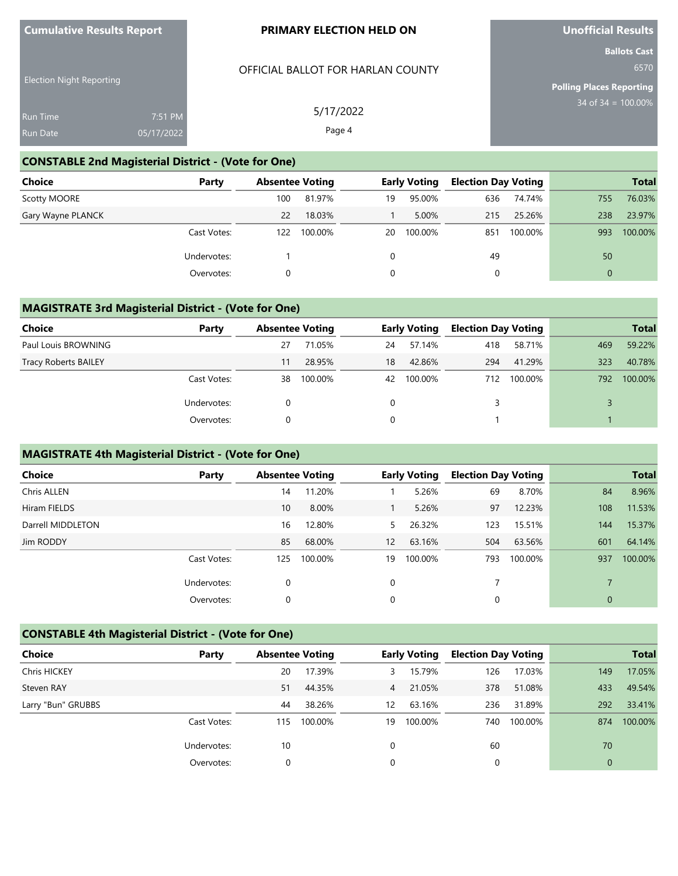| <b>Cumulative Results Report</b> |  |  |
|----------------------------------|--|--|
|----------------------------------|--|--|

## **PRIMARY ELECTION HELD ON**

OFFICIAL BALLOT FOR HARLAN COUNTY

5/17/2022 Page 4

## **Unofficial Results**

**Ballots Cast**

6570

**Polling Places Reporting** 34 of 34 = 100.00%

| <b>Election Night Reporting</b> |            |  |
|---------------------------------|------------|--|
| <b>Run Time</b>                 | 7:51 PM    |  |
| <b>Run Date</b>                 | 05/17/2022 |  |

## **CONSTABLE 2nd Magisterial District - (Vote for One)**

| <b>Choice</b>     | Party       | <b>Absentee Voting</b> |         |    | <b>Early Voting</b> | <b>Election Day Voting</b> |         |              | <b>Total</b> |
|-------------------|-------------|------------------------|---------|----|---------------------|----------------------------|---------|--------------|--------------|
| Scotty MOORE      |             | 100                    | 81.97%  | 19 | 95.00%              | 636                        | 74.74%  | 755          | 76.03%       |
| Gary Wayne PLANCK |             | 22                     | 18.03%  |    | 5.00%               | 215                        | 25.26%  | 238          | 23.97%       |
|                   | Cast Votes: | 122                    | 100.00% | 20 | 100.00%             | 851                        | 100.00% | 993          | 100.00%      |
|                   | Undervotes: |                        |         | 0  |                     | 49                         |         | 50           |              |
|                   | Overvotes:  | $\Omega$               |         | 0  |                     | 0                          |         | $\mathbf{0}$ |              |

### **MAGISTRATE 3rd Magisterial District - (Vote for One)**

| <b>Choice</b>               | Party       | <b>Absentee Voting</b> |         |    | <b>Early Voting</b> | <b>Election Day Voting</b> |         |     | <b>Total</b> |
|-----------------------------|-------------|------------------------|---------|----|---------------------|----------------------------|---------|-----|--------------|
| Paul Louis BROWNING         |             | 27                     | 71.05%  | 24 | 57.14%              | 418                        | 58.71%  | 469 | 59.22%       |
| <b>Tracy Roberts BAILEY</b> |             | 11                     | 28.95%  | 18 | 42.86%              | 294                        | 41.29%  | 323 | 40.78%       |
|                             | Cast Votes: | 38                     | 100.00% | 42 | 100.00%             | 712                        | 100.00% | 792 | 100.00%      |
|                             | Undervotes: |                        |         | 0  |                     |                            |         |     |              |
|                             | Overvotes:  |                        |         | 0  |                     |                            |         |     |              |

## **MAGISTRATE 4th Magisterial District - (Vote for One)**

| <b>Choice</b>     | Party       | <b>Absentee Voting</b> |         |                   | <b>Early Voting</b> | <b>Election Day Voting</b> |         |              | <b>Total</b> |
|-------------------|-------------|------------------------|---------|-------------------|---------------------|----------------------------|---------|--------------|--------------|
| Chris ALLEN       |             | 14                     | 11.20%  |                   | 5.26%               | 69                         | 8.70%   | 84           | 8.96%        |
| Hiram FIELDS      |             | 10                     | 8.00%   |                   | 5.26%               | 97                         | 12.23%  | 108          | 11.53%       |
| Darrell MIDDLETON |             | 16                     | 12.80%  | 5.                | 26.32%              | 123                        | 15.51%  | 144          | 15.37%       |
| Jim RODDY         |             | 85                     | 68.00%  | $12 \overline{ }$ | 63.16%              | 504                        | 63.56%  | 601          | 64.14%       |
|                   | Cast Votes: | 125                    | 100.00% | 19                | 100.00%             | 793                        | 100.00% | 937          | 100.00%      |
|                   | Undervotes: | 0                      |         | 0                 |                     |                            |         | 7            |              |
|                   | Overvotes:  | 0                      |         | 0                 |                     | 0                          |         | $\mathbf{0}$ |              |

## **CONSTABLE 4th Magisterial District - (Vote for One)**

| Choice             | Party       |     | <b>Absentee Voting</b> |                | <b>Early Voting</b> | <b>Election Day Voting</b> |         |                | <b>Total</b> |
|--------------------|-------------|-----|------------------------|----------------|---------------------|----------------------------|---------|----------------|--------------|
| Chris HICKEY       |             | 20  | 17.39%                 | 3              | 15.79%              | 126                        | 17.03%  | 149            | 17.05%       |
| Steven RAY         |             | 51  | 44.35%                 | $\overline{4}$ | 21.05%              | 378                        | 51.08%  | 433            | 49.54%       |
| Larry "Bun" GRUBBS |             | 44  | 38.26%                 | 12             | 63.16%              | 236                        | 31.89%  | 292            | 33.41%       |
|                    | Cast Votes: | 115 | 100.00%                | 19             | 100.00%             | 740                        | 100.00% | 874            | 100.00%      |
|                    | Undervotes: | 10  |                        | 0              |                     | 60                         |         | 70             |              |
|                    | Overvotes:  |     |                        | 0              |                     |                            |         | $\overline{0}$ |              |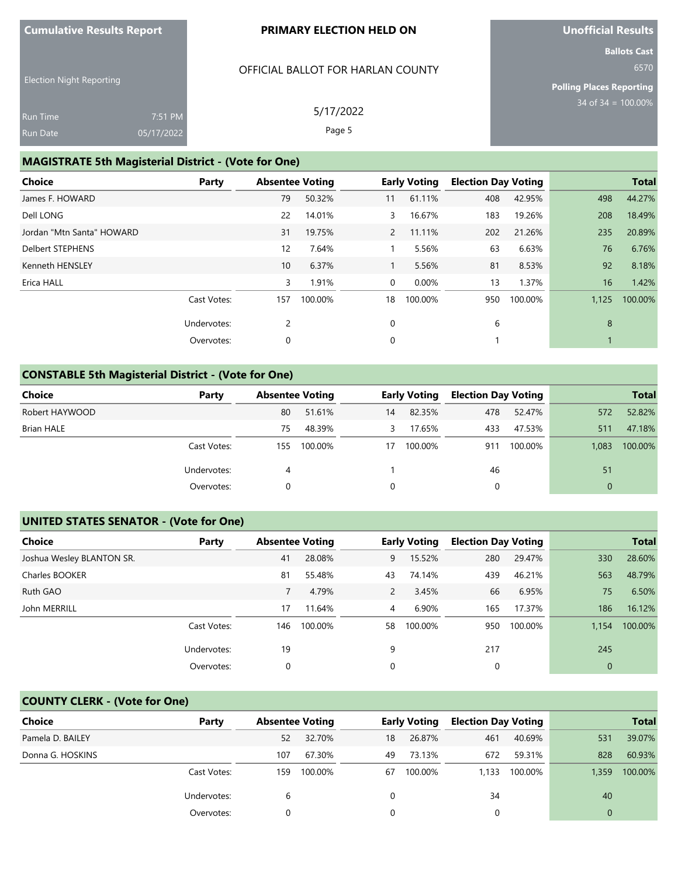Election Night Reporting

### **PRIMARY ELECTION HELD ON**

OFFICIAL BALLOT FOR HARLAN COUNTY

5/17/2022 Page 5

**Unofficial Results**

**Ballots Cast** 6570

**Polling Places Reporting** 34 of 34 = 100.00%

```
Run Time
Run Date
                             7:51 PM
                          05/17/2022
```
## **MAGISTRATE 5th Magisterial District - (Vote for One)**

| <b>Choice</b>             | Party       | <b>Absentee Voting</b> |         |                | <b>Early Voting</b> | <b>Election Day Voting</b> |         |       | <b>Total</b> |
|---------------------------|-------------|------------------------|---------|----------------|---------------------|----------------------------|---------|-------|--------------|
| James F. HOWARD           |             | 79                     | 50.32%  | 11             | 61.11%              | 408                        | 42.95%  | 498   | 44.27%       |
| Dell LONG                 |             | 22                     | 14.01%  | 3              | 16.67%              | 183                        | 19.26%  | 208   | 18.49%       |
| Jordan "Mtn Santa" HOWARD |             | 31                     | 19.75%  | $2^{\circ}$    | 11.11%              | 202                        | 21.26%  | 235   | 20.89%       |
| <b>Delbert STEPHENS</b>   |             | 12                     | 7.64%   |                | 5.56%               | 63                         | 6.63%   | 76    | 6.76%        |
| Kenneth HENSLEY           |             | 10 <sup>°</sup>        | 6.37%   |                | 5.56%               | 81                         | 8.53%   | 92    | 8.18%        |
| Erica HALL                |             | 3                      | 1.91%   | $\overline{0}$ | 0.00%               | 13                         | 1.37%   | 16    | 1.42%        |
|                           | Cast Votes: | 157                    | 100.00% | 18             | 100.00%             | 950                        | 100.00% | 1,125 | 100.00%      |
|                           | Undervotes: | $\overline{c}$         |         | 0              |                     | 6                          |         | 8     |              |
|                           | Overvotes:  | 0                      |         | 0              |                     |                            |         |       |              |
|                           |             |                        |         |                |                     |                            |         |       |              |

## **CONSTABLE 5th Magisterial District - (Vote for One)**

| Choice            | Party       | <b>Absentee Voting</b> |         |    | <b>Early Voting</b> | <b>Election Day Voting</b> |         |              | <b>Total</b> |
|-------------------|-------------|------------------------|---------|----|---------------------|----------------------------|---------|--------------|--------------|
| Robert HAYWOOD    |             | 80                     | 51.61%  | 14 | 82.35%              | 478                        | 52.47%  | 572          | 52.82%       |
| <b>Brian HALE</b> |             | 75                     | 48.39%  | 3  | 17.65%              | 433                        | 47.53%  | 511          | 47.18%       |
|                   | Cast Votes: | 155                    | 100.00% | 17 | 100.00%             | 911                        | 100.00% | 1.083        | 100.00%      |
|                   | Undervotes: | 4                      |         |    |                     | 46                         |         | 51           |              |
|                   | Overvotes:  | 0                      |         |    |                     | 0                          |         | $\mathbf{0}$ |              |

## **UNITED STATES SENATOR - (Vote for One)**

| <b>Choice</b>             | Party       |     | <b>Absentee Voting</b> |                | <b>Early Voting</b> | <b>Election Day Voting</b> |         |                | <b>Total</b> |
|---------------------------|-------------|-----|------------------------|----------------|---------------------|----------------------------|---------|----------------|--------------|
| Joshua Wesley BLANTON SR. |             | 41  | 28.08%                 | 9              | 15.52%              | 280                        | 29.47%  | 330            | 28.60%       |
| Charles BOOKER            |             | 81  | 55.48%                 | 43             | 74.14%              | 439                        | 46.21%  | 563            | 48.79%       |
| Ruth GAO                  |             |     | 4.79%                  | $\overline{2}$ | 3.45%               | 66                         | 6.95%   | 75             | 6.50%        |
| John MERRILL              |             | 17  | 11.64%                 | 4              | 6.90%               | 165                        | 17.37%  | 186            | 16.12%       |
|                           | Cast Votes: | 146 | 100.00%                | 58             | 100.00%             | 950                        | 100.00% | 1.154          | 100.00%      |
|                           | Undervotes: | 19  |                        | 9              |                     | 217                        |         | 245            |              |
|                           | Overvotes:  | 0   |                        | 0              |                     | 0                          |         | $\overline{0}$ |              |

## **COUNTY CLERK - (Vote for One)**

| <b>Choice</b>    | Party       | <b>Absentee Voting</b> |         | <b>Early Voting</b> |         | <b>Election Day Voting</b> |         | <b>Total</b> |         |
|------------------|-------------|------------------------|---------|---------------------|---------|----------------------------|---------|--------------|---------|
| Pamela D. BAILEY |             | 52                     | 32.70%  | 18                  | 26.87%  | 461                        | 40.69%  | 531          | 39.07%  |
| Donna G. HOSKINS |             | 107                    | 67.30%  | 49                  | 73.13%  | 672                        | 59.31%  | 828          | 60.93%  |
|                  | Cast Votes: | 159                    | 100.00% | 67                  | 100.00% | 1.133                      | 100.00% | 1,359        | 100.00% |
|                  | Undervotes: | 6                      |         |                     |         | 34                         |         | 40           |         |
|                  | Overvotes:  | 0                      |         |                     |         | 0                          |         | $\mathbf{0}$ |         |